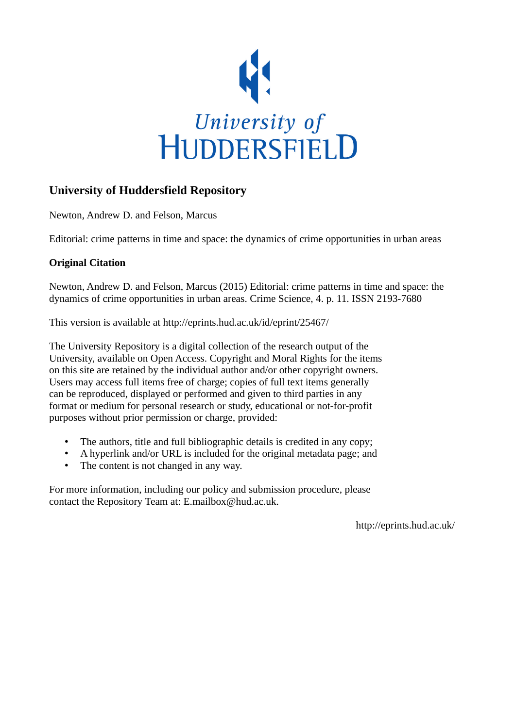

# **University of Huddersfield Repository**

Newton, Andrew D. and Felson, Marcus

Editorial: crime patterns in time and space: the dynamics of crime opportunities in urban areas

# **Original Citation**

Newton, Andrew D. and Felson, Marcus (2015) Editorial: crime patterns in time and space: the dynamics of crime opportunities in urban areas. Crime Science, 4. p. 11. ISSN 2193-7680

This version is available at http://eprints.hud.ac.uk/id/eprint/25467/

The University Repository is a digital collection of the research output of the University, available on Open Access. Copyright and Moral Rights for the items on this site are retained by the individual author and/or other copyright owners. Users may access full items free of charge; copies of full text items generally can be reproduced, displayed or performed and given to third parties in any format or medium for personal research or study, educational or not-for-profit purposes without prior permission or charge, provided:

- The authors, title and full bibliographic details is credited in any copy;
- A hyperlink and/or URL is included for the original metadata page; and
- The content is not changed in any way.

For more information, including our policy and submission procedure, please contact the Repository Team at: E.mailbox@hud.ac.uk.

http://eprints.hud.ac.uk/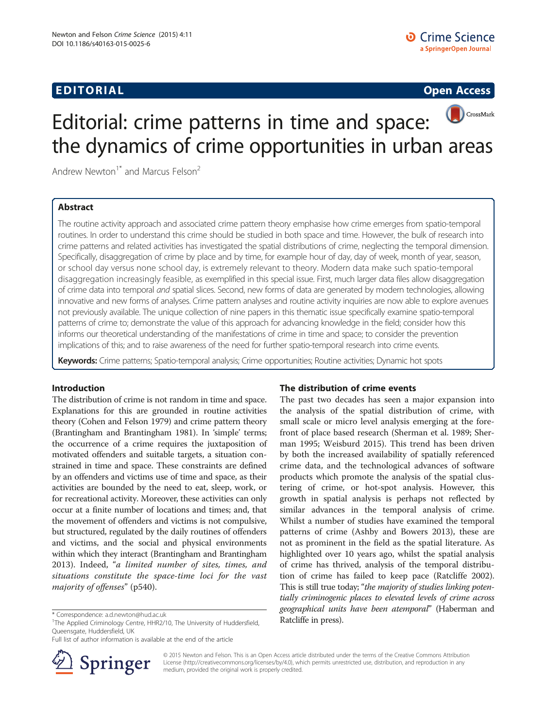## **EDITORIAL** CONTROL CONTROL CONTROL CONTROL CONTROL CONTROL CONTROL CONTROL CONTROL CONTROL CONTROL CONTROL CONTROL CONTROL CONTROL CONTROL CONTROL CONTROL CONTROL CONTROL CONTROL CONTROL CONTROL CONTROL CONTROL CONTROL CO



# Editorial: crime patterns in time and space: the dynamics of crime opportunities in urban areas

Andrew Newton<sup>1\*</sup> and Marcus Felson<sup>2</sup>

## Abstract

The routine activity approach and associated crime pattern theory emphasise how crime emerges from spatio-temporal routines. In order to understand this crime should be studied in both space and time. However, the bulk of research into crime patterns and related activities has investigated the spatial distributions of crime, neglecting the temporal dimension. Specifically, disaggregation of crime by place and by time, for example hour of day, day of week, month of year, season, or school day versus none school day, is extremely relevant to theory. Modern data make such spatio-temporal disaggregation increasingly feasible, as exemplified in this special issue. First, much larger data files allow disaggregation of crime data into temporal and spatial slices. Second, new forms of data are generated by modern technologies, allowing innovative and new forms of analyses. Crime pattern analyses and routine activity inquiries are now able to explore avenues not previously available. The unique collection of nine papers in this thematic issue specifically examine spatio-temporal patterns of crime to; demonstrate the value of this approach for advancing knowledge in the field; consider how this informs our theoretical understanding of the manifestations of crime in time and space; to consider the prevention implications of this; and to raise awareness of the need for further spatio-temporal research into crime events.

Keywords: Crime patterns; Spatio-temporal analysis; Crime opportunities; Routine activities; Dynamic hot spots

### Introduction

The distribution of crime is not random in time and space. Explanations for this are grounded in routine activities theory (Cohen and Felson [1979\)](#page-5-0) and crime pattern theory (Brantingham and Brantingham [1981](#page-5-0)). In 'simple' terms; the occurrence of a crime requires the juxtaposition of motivated offenders and suitable targets, a situation constrained in time and space. These constraints are defined by an offenders and victims use of time and space, as their activities are bounded by the need to eat, sleep, work, or for recreational activity. Moreover, these activities can only occur at a finite number of locations and times; and, that the movement of offenders and victims is not compulsive, but structured, regulated by the daily routines of offenders and victims, and the social and physical environments within which they interact (Brantingham and Brantingham [2013\)](#page-5-0). Indeed, "a limited number of sites, times, and situations constitute the space-time loci for the vast majority of offenses" (p540).

Full list of author information is available at the end of the article



#### The distribution of crime events

The past two decades has seen a major expansion into the analysis of the spatial distribution of crime, with small scale or micro level analysis emerging at the forefront of place based research (Sherman et al. [1989;](#page-5-0) Sherman [1995](#page-5-0); Weisburd [2015\)](#page-5-0). This trend has been driven by both the increased availability of spatially referenced crime data, and the technological advances of software products which promote the analysis of the spatial clustering of crime, or hot-spot analysis. However, this growth in spatial analysis is perhaps not reflected by similar advances in the temporal analysis of crime. Whilst a number of studies have examined the temporal patterns of crime (Ashby and Bowers [2013](#page-5-0)), these are not as prominent in the field as the spatial literature. As highlighted over 10 years ago, whilst the spatial analysis of crime has thrived, analysis of the temporal distribution of crime has failed to keep pace (Ratcliffe [2002](#page-5-0)). This is still true today; "the majority of studies linking potentially criminogenic places to elevated levels of crime across geographical units have been atemporal" (Haberman and

© 2015 Newton and Felson. This is an Open Access article distributed under the terms of the Creative Commons Attribution License [\(http://creativecommons.org/licenses/by/4.0\)](http://creativecommons.org/licenses/by/4.0), which permits unrestricted use, distribution, and reproduction in any medium, provided the original work is properly credited.

<sup>\*</sup> Correspondence: [a.d.newton@hud.ac.uk](mailto:a.d.newton@hud.ac.uk) 1999 - Sengthermannic marries of Huddersfield, 1999 - 2006).<br>The Applied Criminology Centre, HHR2/10, The University of Huddersfield, 1999 - 1998 - 2008. Queensgate, Huddersfield, UK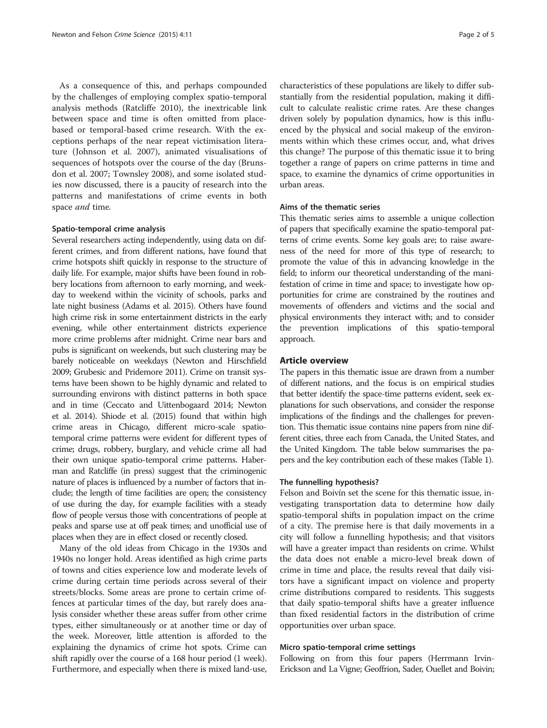As a consequence of this, and perhaps compounded by the challenges of employing complex spatio-temporal analysis methods (Ratcliffe [2010](#page-5-0)), the inextricable link between space and time is often omitted from placebased or temporal-based crime research. With the exceptions perhaps of the near repeat victimisation literature (Johnson et al. [2007\)](#page-5-0), animated visualisations of sequences of hotspots over the course of the day (Brunsdon et al. [2007;](#page-5-0) Townsley [2008\)](#page-5-0), and some isolated studies now discussed, there is a paucity of research into the patterns and manifestations of crime events in both space *and* time.

#### Spatio-temporal crime analysis

Several researchers acting independently, using data on different crimes, and from different nations, have found that crime hotspots shift quickly in response to the structure of daily life. For example, major shifts have been found in robbery locations from afternoon to early morning, and weekday to weekend within the vicinity of schools, parks and late night business (Adams et al. [2015\)](#page-5-0). Others have found high crime risk in some entertainment districts in the early evening, while other entertainment districts experience more crime problems after midnight. Crime near bars and pubs is significant on weekends, but such clustering may be barely noticeable on weekdays (Newton and Hirschfield [2009;](#page-5-0) Grubesic and Pridemore [2011\)](#page-5-0). Crime on transit systems have been shown to be highly dynamic and related to surrounding environs with distinct patterns in both space and in time (Ceccato and Uittenbogaard [2014;](#page-5-0) Newton et al. [2014\)](#page-5-0). Shiode et al. ([2015](#page-5-0)) found that within high crime areas in Chicago, different micro-scale spatiotemporal crime patterns were evident for different types of crime; drugs, robbery, burglary, and vehicle crime all had their own unique spatio-temporal crime patterns. Haberman and Ratcliffe [\(in press](#page-5-0)) suggest that the criminogenic nature of places is influenced by a number of factors that include; the length of time facilities are open; the consistency of use during the day, for example facilities with a steady flow of people versus those with concentrations of people at peaks and sparse use at off peak times; and unofficial use of places when they are in effect closed or recently closed.

Many of the old ideas from Chicago in the 1930s and 1940s no longer hold. Areas identified as high crime parts of towns and cities experience low and moderate levels of crime during certain time periods across several of their streets/blocks. Some areas are prone to certain crime offences at particular times of the day, but rarely does analysis consider whether these areas suffer from other crime types, either simultaneously or at another time or day of the week. Moreover, little attention is afforded to the explaining the dynamics of crime hot spots. Crime can shift rapidly over the course of a 168 hour period (1 week). Furthermore, and especially when there is mixed land-use,

characteristics of these populations are likely to differ substantially from the residential population, making it difficult to calculate realistic crime rates. Are these changes driven solely by population dynamics, how is this influenced by the physical and social makeup of the environments within which these crimes occur, and, what drives this change? The purpose of this thematic issue it to bring together a range of papers on crime patterns in time and space, to examine the dynamics of crime opportunities in urban areas.

#### Aims of the thematic series

This thematic series aims to assemble a unique collection of papers that specifically examine the spatio-temporal patterns of crime events. Some key goals are; to raise awareness of the need for more of this type of research; to promote the value of this in advancing knowledge in the field; to inform our theoretical understanding of the manifestation of crime in time and space; to investigate how opportunities for crime are constrained by the routines and movements of offenders and victims and the social and physical environments they interact with; and to consider the prevention implications of this spatio-temporal approach.

#### Article overview

The papers in this thematic issue are drawn from a number of different nations, and the focus is on empirical studies that better identify the space-time patterns evident, seek explanations for such observations, and consider the response implications of the findings and the challenges for prevention. This thematic issue contains nine papers from nine different cities, three each from Canada, the United States, and the United Kingdom. The table below summarises the papers and the key contribution each of these makes (Table [1](#page-3-0)).

#### The funnelling hypothesis?

Felson and Boivín set the scene for this thematic issue, investigating transportation data to determine how daily spatio-temporal shifts in population impact on the crime of a city. The premise here is that daily movements in a city will follow a funnelling hypothesis; and that visitors will have a greater impact than residents on crime. Whilst the data does not enable a micro-level break down of crime in time and place, the results reveal that daily visitors have a significant impact on violence and property crime distributions compared to residents. This suggests that daily spatio-temporal shifts have a greater influence than fixed residential factors in the distribution of crime opportunities over urban space.

#### Micro spatio-temporal crime settings

Following on from this four papers (Herrmann Irvin-Erickson and La Vigne; Geoffrion, Sader, Ouellet and Boivin;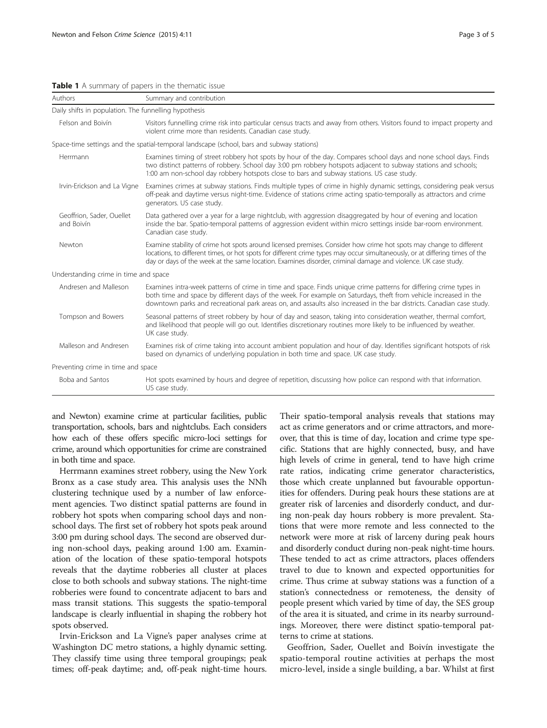<span id="page-3-0"></span>

| Authors                                               | Summary and contribution                                                                                                                                                                                                                                                                                                                                             |
|-------------------------------------------------------|----------------------------------------------------------------------------------------------------------------------------------------------------------------------------------------------------------------------------------------------------------------------------------------------------------------------------------------------------------------------|
| Daily shifts in population. The funnelling hypothesis |                                                                                                                                                                                                                                                                                                                                                                      |
| Felson and Boivín                                     | Visitors funnelling crime risk into particular census tracts and away from others. Visitors found to impact property and<br>violent crime more than residents. Canadian case study.                                                                                                                                                                                  |
|                                                       | Space-time settings and the spatial-temporal landscape (school, bars and subway stations)                                                                                                                                                                                                                                                                            |
| Herrmann                                              | Examines timing of street robbery hot spots by hour of the day. Compares school days and none school days. Finds<br>two distinct patterns of robbery. School day 3:00 pm robbery hotspots adjacent to subway stations and schools;<br>1:00 am non-school day robbery hotspots close to bars and subway stations. US case study.                                      |
| Irvin-Erickson and La Vigne                           | Examines crimes at subway stations. Finds multiple types of crime in highly dynamic settings, considering peak versus<br>off-peak and daytime versus night-time. Evidence of stations crime acting spatio-temporally as attractors and crime<br>generators. US case study.                                                                                           |
| Geoffrion, Sader, Ouellet<br>and Boivín               | Data gathered over a year for a large nightclub, with aggression disaggregated by hour of evening and location<br>inside the bar. Spatio-temporal patterns of aggression evident within micro settings inside bar-room environment.<br>Canadian case study.                                                                                                          |
| Newton                                                | Examine stability of crime hot spots around licensed premises. Consider how crime hot spots may change to different<br>locations, to different times, or hot spots for different crime types may occur simultaneously, or at differing times of the<br>day or days of the week at the same location. Examines disorder, criminal damage and violence. UK case study. |
| Understanding crime in time and space                 |                                                                                                                                                                                                                                                                                                                                                                      |
| Andresen and Malleson                                 | Examines intra-week patterns of crime in time and space. Finds unique crime patterns for differing crime types in<br>both time and space by different days of the week. For example on Saturdays, theft from vehicle increased in the<br>downtown parks and recreational park areas on, and assaults also increased in the bar districts. Canadian case study,       |
| Tompson and Bowers                                    | Seasonal patterns of street robbery by hour of day and season, taking into consideration weather, thermal comfort,<br>and likelihood that people will go out. Identifies discretionary routines more likely to be influenced by weather.<br>UK case study.                                                                                                           |
| Malleson and Andresen                                 | Examines risk of crime taking into account ambient population and hour of day. Identifies significant hotspots of risk<br>based on dynamics of underlying population in both time and space. UK case study.                                                                                                                                                          |
| Preventing crime in time and space                    |                                                                                                                                                                                                                                                                                                                                                                      |
| Boba and Santos                                       | Hot spots examined by hours and degree of repetition, discussing how police can respond with that information.<br>US case study.                                                                                                                                                                                                                                     |

and Newton) examine crime at particular facilities, public transportation, schools, bars and nightclubs. Each considers how each of these offers specific micro-loci settings for crime, around which opportunities for crime are constrained in both time and space.

Herrmann examines street robbery, using the New York Bronx as a case study area. This analysis uses the NNh clustering technique used by a number of law enforcement agencies. Two distinct spatial patterns are found in robbery hot spots when comparing school days and nonschool days. The first set of robbery hot spots peak around 3:00 pm during school days. The second are observed during non-school days, peaking around 1:00 am. Examination of the location of these spatio-temporal hotspots reveals that the daytime robberies all cluster at places close to both schools and subway stations. The night-time robberies were found to concentrate adjacent to bars and mass transit stations. This suggests the spatio-temporal landscape is clearly influential in shaping the robbery hot spots observed.

Irvin-Erickson and La Vigne's paper analyses crime at Washington DC metro stations, a highly dynamic setting. They classify time using three temporal groupings; peak times; off-peak daytime; and, off-peak night-time hours.

Their spatio-temporal analysis reveals that stations may act as crime generators and or crime attractors, and moreover, that this is time of day, location and crime type specific. Stations that are highly connected, busy, and have high levels of crime in general, tend to have high crime rate ratios, indicating crime generator characteristics, those which create unplanned but favourable opportunities for offenders. During peak hours these stations are at greater risk of larcenies and disorderly conduct, and during non-peak day hours robbery is more prevalent. Stations that were more remote and less connected to the network were more at risk of larceny during peak hours and disorderly conduct during non-peak night-time hours. These tended to act as crime attractors, places offenders travel to due to known and expected opportunities for crime. Thus crime at subway stations was a function of a station's connectedness or remoteness, the density of people present which varied by time of day, the SES group of the area it is situated, and crime in its nearby surroundings. Moreover, there were distinct spatio-temporal patterns to crime at stations.

Geoffrion, Sader, Ouellet and Boivín investigate the spatio-temporal routine activities at perhaps the most micro-level, inside a single building, a bar. Whilst at first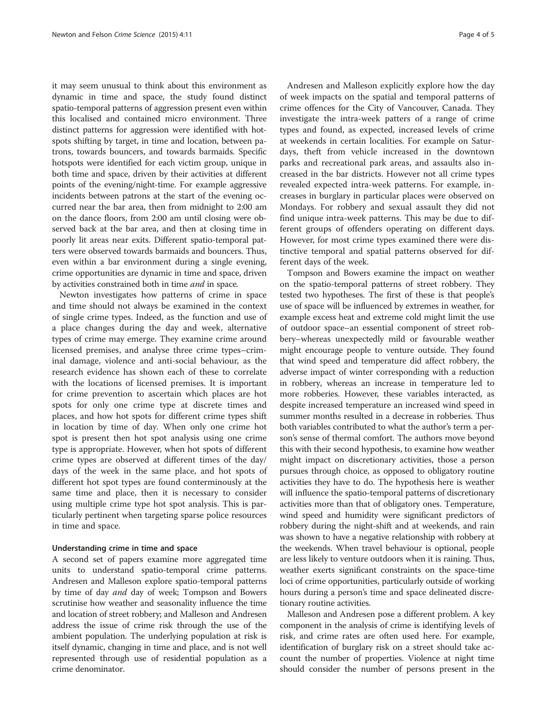it may seem unusual to think about this environment as dynamic in time and space, the study found distinct spatio-temporal patterns of aggression present even within this localised and contained micro environment. Three distinct patterns for aggression were identified with hotspots shifting by target, in time and location, between patrons, towards bouncers, and towards barmaids. Specific hotspots were identified for each victim group, unique in both time and space, driven by their activities at different points of the evening/night-time. For example aggressive incidents between patrons at the start of the evening occurred near the bar area, then from midnight to 2:00 am on the dance floors, from 2:00 am until closing were observed back at the bar area, and then at closing time in poorly lit areas near exits. Different spatio-temporal patters were observed towards barmaids and bouncers. Thus, even within a bar environment during a single evening, crime opportunities are dynamic in time and space, driven by activities constrained both in time and in space.

Newton investigates how patterns of crime in space and time should not always be examined in the context of single crime types. Indeed, as the function and use of a place changes during the day and week, alternative types of crime may emerge. They examine crime around licensed premises, and analyse three crime types–criminal damage, violence and anti-social behaviour, as the research evidence has shown each of these to correlate with the locations of licensed premises. It is important for crime prevention to ascertain which places are hot spots for only one crime type at discrete times and places, and how hot spots for different crime types shift in location by time of day. When only one crime hot spot is present then hot spot analysis using one crime type is appropriate. However, when hot spots of different crime types are observed at different times of the day/ days of the week in the same place, and hot spots of different hot spot types are found conterminously at the same time and place, then it is necessary to consider using multiple crime type hot spot analysis. This is particularly pertinent when targeting sparse police resources in time and space.

#### Understanding crime in time and space

A second set of papers examine more aggregated time units to understand spatio-temporal crime patterns. Andresen and Malleson explore spatio-temporal patterns by time of day and day of week; Tompson and Bowers scrutinise how weather and seasonality influence the time and location of street robbery; and Malleson and Andresen address the issue of crime risk through the use of the ambient population. The underlying population at risk is itself dynamic, changing in time and place, and is not well represented through use of residential population as a crime denominator.

Andresen and Malleson explicitly explore how the day of week impacts on the spatial and temporal patterns of crime offences for the City of Vancouver, Canada. They investigate the intra-week patters of a range of crime types and found, as expected, increased levels of crime at weekends in certain localities. For example on Saturdays, theft from vehicle increased in the downtown parks and recreational park areas, and assaults also increased in the bar districts. However not all crime types revealed expected intra-week patterns. For example, increases in burglary in particular places were observed on Mondays. For robbery and sexual assault they did not find unique intra-week patterns. This may be due to different groups of offenders operating on different days. However, for most crime types examined there were distinctive temporal and spatial patterns observed for different days of the week.

Tompson and Bowers examine the impact on weather on the spatio-temporal patterns of street robbery. They tested two hypotheses. The first of these is that people's use of space will be influenced by extremes in weather, for example excess heat and extreme cold might limit the use of outdoor space–an essential component of street robbery–whereas unexpectedly mild or favourable weather might encourage people to venture outside. They found that wind speed and temperature did affect robbery, the adverse impact of winter corresponding with a reduction in robbery, whereas an increase in temperature led to more robberies. However, these variables interacted, as despite increased temperature an increased wind speed in summer months resulted in a decrease in robberies. Thus both variables contributed to what the author's term a person's sense of thermal comfort. The authors move beyond this with their second hypothesis, to examine how weather might impact on discretionary activities, those a person pursues through choice, as opposed to obligatory routine activities they have to do. The hypothesis here is weather will influence the spatio-temporal patterns of discretionary activities more than that of obligatory ones. Temperature, wind speed and humidity were significant predictors of robbery during the night-shift and at weekends, and rain was shown to have a negative relationship with robbery at the weekends. When travel behaviour is optional, people are less likely to venture outdoors when it is raining. Thus, weather exerts significant constraints on the space-time loci of crime opportunities, particularly outside of working hours during a person's time and space delineated discretionary routine activities.

Malleson and Andresen pose a different problem. A key component in the analysis of crime is identifying levels of risk, and crime rates are often used here. For example, identification of burglary risk on a street should take account the number of properties. Violence at night time should consider the number of persons present in the